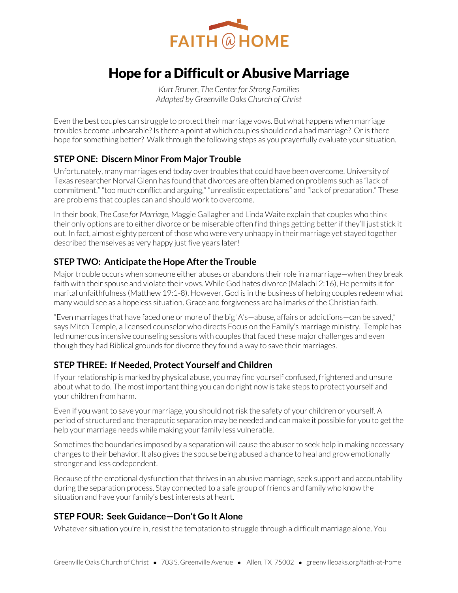

# Hope for a Difficult or Abusive Marriage

*Kurt Bruner, The Center for Strong Families Adapted by Greenville Oaks Church of Christ* 

Even the best couples can struggle to protect their marriage vows. But what happens when marriage troubles become unbearable? Is there a point at which couples should end a bad marriage? Or is there hope for something better? Walk through the following steps as you prayerfully evaluate your situation.

# **STEP ONE: Discern Minor From Major Trouble**

Unfortunately, many marriages end today over troubles that could have been overcome. University of Texas researcher Norval Glenn has found that divorces are often blamed on problems such as "lack of commitment," "too much conflict and arguing," "unrealistic expectations" and "lack of preparation." These are problems that couples can and should work to overcome.

In their book, *The Case for Marriage*, Maggie Gallagher and Linda Waite explain that couples who think their only options are to either divorce or be miserable often find things getting better if they'll just stick it out. In fact, almost eighty percent of those who were very unhappy in their marriage yet stayed together described themselves as very happy just five years later!

## **STEP TWO: Anticipate the Hope After the Trouble**

Major trouble occurs when someone either abuses or abandons their role in a marriage—when they break faith with their spouse and violate their vows. While God hates divorce (Malachi 2:16), He permits it for marital unfaithfulness (Matthew 19:1-8). However, God is in the business of helping couples redeem what many would see as a hopeless situation. Grace and forgiveness are hallmarks of the Christian faith.

"Even marriages that have faced one or more of the big 'A's—abuse, affairs or addictions—can be saved," says Mitch Temple, a licensed counselor who directs Focus on the Family's marriage ministry. Temple has led numerous intensive counseling sessions with couples that faced these major challenges and even though they had Biblical grounds for divorce they found a way to save their marriages.

## **STEP THREE: If Needed, Protect Yourself and Children**

If your relationship is marked by physical abuse, you may find yourself confused, frightened and unsure about what to do. The most important thing you can do right now is take steps to protect yourself and your children from harm.

Even if you want to save your marriage, you should not risk the safety of your children or yourself. A period of structured and therapeutic separation may be needed and can make it possible for you to get the help your marriage needs while making your family less vulnerable.

Sometimes the boundaries imposed by a separation will cause the abuser to seek help in making necessary changes to their behavior. It also gives the spouse being abused a chance to heal and grow emotionally stronger and less codependent.

Because of the emotional dysfunction that thrives in an abusive marriage, seek support and accountability during the separation process. Stay connected to a safe group of friends and family who know the situation and have your family's best interests at heart.

## **STEP FOUR: Seek Guidance—Don't Go It Alone**

Whatever situation you're in, resist the temptation to struggle through a difficult marriage alone. You